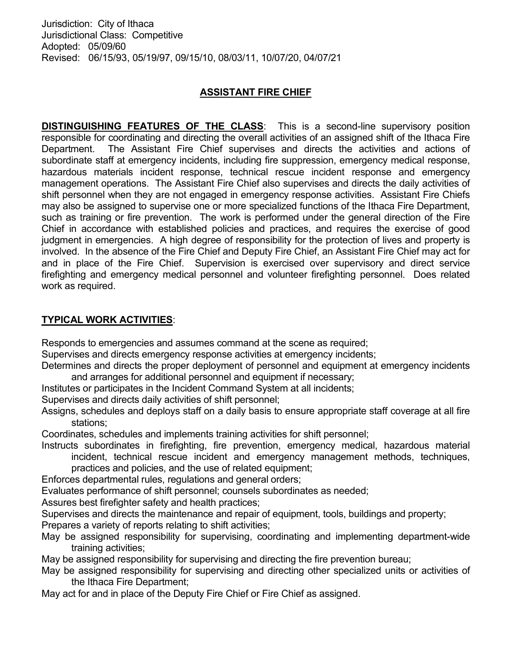# ASSISTANT FIRE CHIEF

**DISTINGUISHING FEATURES OF THE CLASS:** This is a second-line supervisory position responsible for coordinating and directing the overall activities of an assigned shift of the Ithaca Fire Department. The Assistant Fire Chief supervises and directs the activities and actions of subordinate staff at emergency incidents, including fire suppression, emergency medical response, hazardous materials incident response, technical rescue incident response and emergency management operations. The Assistant Fire Chief also supervises and directs the daily activities of shift personnel when they are not engaged in emergency response activities. Assistant Fire Chiefs may also be assigned to supervise one or more specialized functions of the Ithaca Fire Department, such as training or fire prevention. The work is performed under the general direction of the Fire Chief in accordance with established policies and practices, and requires the exercise of good judgment in emergencies. A high degree of responsibility for the protection of lives and property is involved. In the absence of the Fire Chief and Deputy Fire Chief, an Assistant Fire Chief may act for and in place of the Fire Chief. Supervision is exercised over supervisory and direct service firefighting and emergency medical personnel and volunteer firefighting personnel. Does related work as required.

## TYPICAL WORK ACTIVITIES:

Responds to emergencies and assumes command at the scene as required;

Supervises and directs emergency response activities at emergency incidents;

Determines and directs the proper deployment of personnel and equipment at emergency incidents and arranges for additional personnel and equipment if necessary;

Institutes or participates in the Incident Command System at all incidents;

Supervises and directs daily activities of shift personnel;

Assigns, schedules and deploys staff on a daily basis to ensure appropriate staff coverage at all fire stations;

Coordinates, schedules and implements training activities for shift personnel;

Instructs subordinates in firefighting, fire prevention, emergency medical, hazardous material incident, technical rescue incident and emergency management methods, techniques, practices and policies, and the use of related equipment;

Enforces departmental rules, regulations and general orders;

Evaluates performance of shift personnel; counsels subordinates as needed;

Assures best firefighter safety and health practices;

Supervises and directs the maintenance and repair of equipment, tools, buildings and property;

Prepares a variety of reports relating to shift activities;

May be assigned responsibility for supervising, coordinating and implementing department-wide training activities;

May be assigned responsibility for supervising and directing the fire prevention bureau;

- May be assigned responsibility for supervising and directing other specialized units or activities of the Ithaca Fire Department;
- May act for and in place of the Deputy Fire Chief or Fire Chief as assigned.